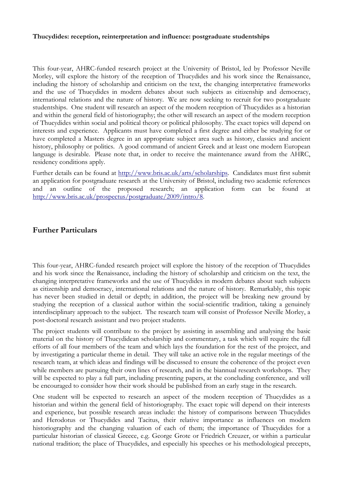## **Thucydides: reception, reinterpretation and influence: postgraduate studentships**

This four-year, AHRC-funded research project at the University of Bristol, led by Professor Neville Morley, will explore the history of the reception of Thucydides and his work since the Renaissance, including the history of scholarship and criticism on the text, the changing interpretative frameworks and the use of Thucydides in modern debates about such subjects as citizenship and democracy, international relations and the nature of history. We are now seeking to recruit for two postgraduate studentships. One student will research an aspect of the modern reception of Thucydides as a historian and within the general field of historiography; the other will research an aspect of the modern reception of Thucydides within social and political theory or political philosophy. The exact topics will depend on interests and experience. Applicants must have completed a first degree and either be studying for or have completed a Masters degree in an appropriate subject area such as history, classics and ancient history, philosophy or politics. A good command of ancient Greek and at least one modern European language is desirable. Please note that, in order to receive the maintenance award from the AHRC, residency conditions apply.

Further details can be found at [http://www.bris.ac.uk/arts/scholarships.](http://www.bris.ac.uk/arts/scholarships) Candidates must first submit an application for postgraduate research at the University of Bristol, including two academic references and an outline of the proposed research; an application form can be found [http://www.bris.ac.uk/prospectus/postgraduate/2009/intro/8.](http://www.bris.ac.uk/prospectus/postgraduate/2009/intro/8)

## **Further Particulars**

This four-year, AHRC-funded research project will explore the history of the reception of Thucydides and his work since the Renaissance, including the history of scholarship and criticism on the text, the changing interpretative frameworks and the use of Thucydides in modern debates about such subjects as citizenship and democracy, international relations and the nature of history. Remarkably, this topic has never been studied in detail or depth; in addition, the project will be breaking new ground by studying the reception of a classical author within the social-scientific tradition, taking a genuinely interdisciplinary approach to the subject. The research team will consist of Professor Neville Morley, a post-doctoral research assistant and two project students.

The project students will contribute to the project by assisting in assembling and analysing the basic material on the history of Thucydidean scholarship and commentary, a task which will require the full efforts of all four members of the team and which lays the foundation for the rest of the project, and by investigating a particular theme in detail. They will take an active role in the regular meetings of the research team, at which ideas and findings will be discussed to ensure the coherence of the project even while members are pursuing their own lines of research, and in the biannual research workshops. They will be expected to play a full part, including presenting papers, at the concluding conference, and will be encouraged to consider how their work should be published from an early stage in the research.

One student will be expected to research an aspect of the modern reception of Thucydides as a historian and within the general field of historiography. The exact topic will depend on their interests and experience, but possible research areas include: the history of comparisons between Thucydides and Herodotus or Thucydides and Tacitus, their relative importance as influences on modern historiography and the changing valuation of each of them; the importance of Thucydides for a particular historian of classical Greece, e.g. George Grote or Friedrich Creuzer, or within a particular national tradition; the place of Thucydides, and especially his speeches or his methodological precepts,